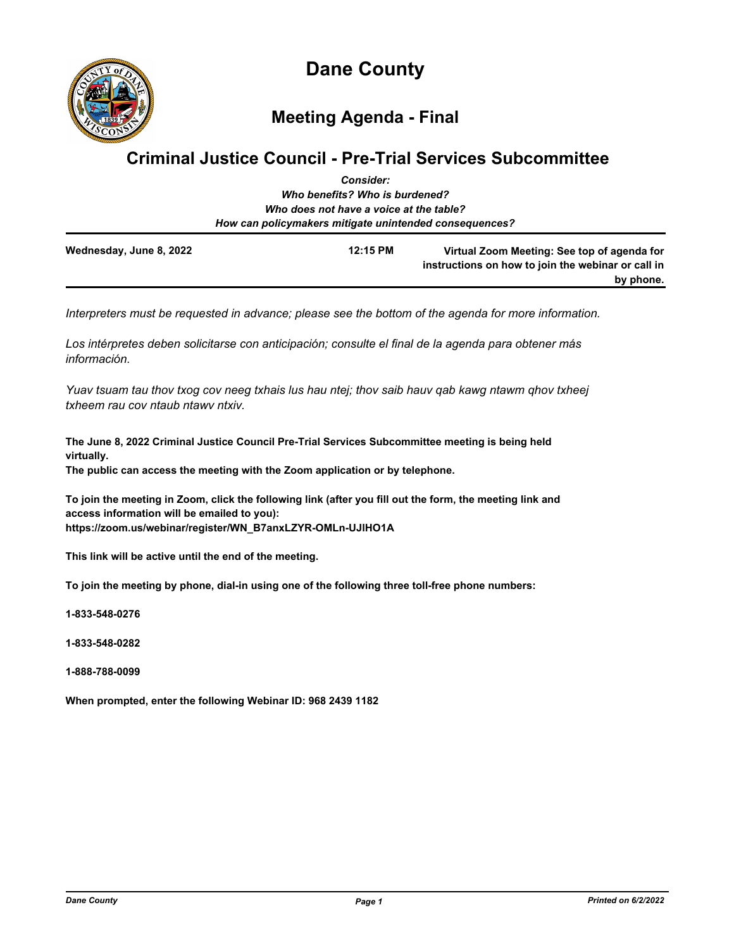

# **Meeting Agenda - Final**

## **Criminal Justice Council - Pre-Trial Services Subcommittee**

|                         | <b>Consider:</b>                                       |                                                                                                                |
|-------------------------|--------------------------------------------------------|----------------------------------------------------------------------------------------------------------------|
|                         | Who benefits? Who is burdened?                         |                                                                                                                |
|                         | Who does not have a voice at the table?                |                                                                                                                |
|                         | How can policymakers mitigate unintended consequences? |                                                                                                                |
| Wednesday, June 8, 2022 | 12:15 PM                                               | Virtual Zoom Meeting: See top of agenda for<br>instructions on how to join the webinar or call in<br>by phone. |

*Interpreters must be requested in advance; please see the bottom of the agenda for more information.*

*Los intérpretes deben solicitarse con anticipación; consulte el final de la agenda para obtener más información.*

*Yuav tsuam tau thov txog cov neeg txhais lus hau ntej; thov saib hauv qab kawg ntawm qhov txheej txheem rau cov ntaub ntawv ntxiv.*

**The June 8, 2022 Criminal Justice Council Pre-Trial Services Subcommittee meeting is being held virtually.** 

**The public can access the meeting with the Zoom application or by telephone.**

**To join the meeting in Zoom, click the following link (after you fill out the form, the meeting link and access information will be emailed to you): https://zoom.us/webinar/register/WN\_B7anxLZYR-OMLn-UJlHO1A**

**This link will be active until the end of the meeting.**

**To join the meeting by phone, dial-in using one of the following three toll-free phone numbers:**

**1-833-548-0276**

**1-833-548-0282**

**1-888-788-0099**

**When prompted, enter the following Webinar ID: 968 2439 1182**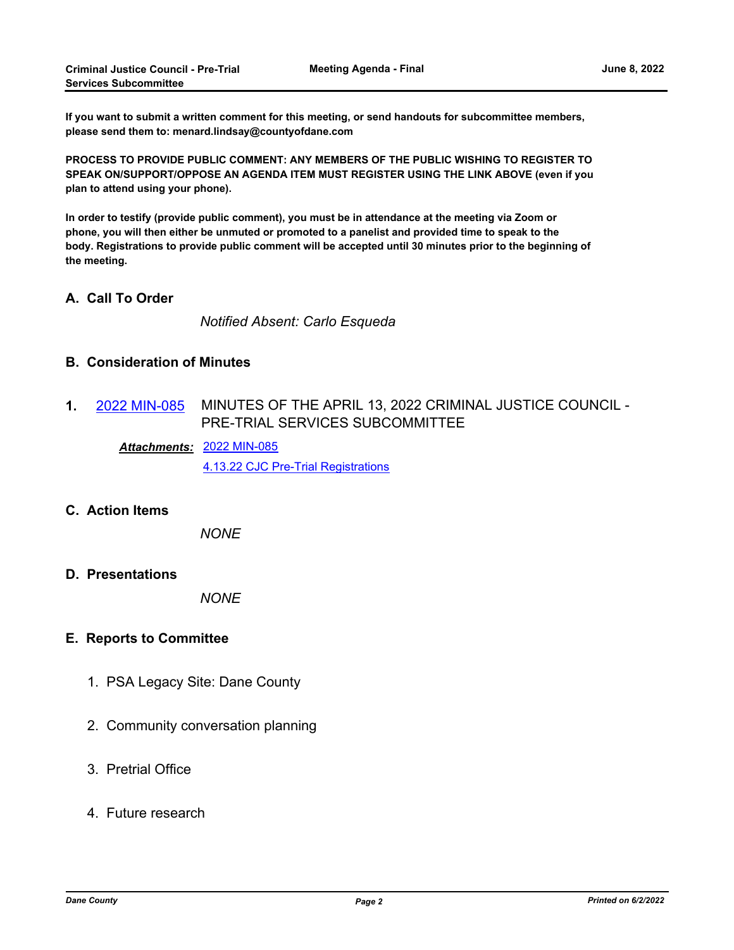**If you want to submit a written comment for this meeting, or send handouts for subcommittee members, please send them to: menard.lindsay@countyofdane.com**

**PROCESS TO PROVIDE PUBLIC COMMENT: ANY MEMBERS OF THE PUBLIC WISHING TO REGISTER TO SPEAK ON/SUPPORT/OPPOSE AN AGENDA ITEM MUST REGISTER USING THE LINK ABOVE (even if you plan to attend using your phone).**

**In order to testify (provide public comment), you must be in attendance at the meeting via Zoom or phone, you will then either be unmuted or promoted to a panelist and provided time to speak to the body. Registrations to provide public comment will be accepted until 30 minutes prior to the beginning of the meeting.**

## **A. Call To Order**

*Notified Absent: Carlo Esqueda*

## **B. Consideration of Minutes**

MINUTES OF THE APRIL 13, 2022 CRIMINAL JUSTICE COUNCIL - PRE-TRIAL SERVICES SUBCOMMITTEE **1.** [2022 MIN-085](http://dane.legistar.com/gateway.aspx?m=l&id=/matter.aspx?key=23001)

[2022 MIN-085](http://dane.legistar.com/gateway.aspx?M=F&ID=04b48b57-0ddf-496d-a480-4001cb6b20bb.pdf) *Attachments:* [4.13.22 CJC Pre-Trial Registrations](http://dane.legistar.com/gateway.aspx?M=F&ID=41c2a554-a993-4c37-9d65-8fe1480fb3c3.pdf)

#### **C. Action Items**

*NONE*

#### **D. Presentations**

*NONE*

#### **E. Reports to Committee**

- 1. PSA Legacy Site: Dane County
- 2. Community conversation planning
- 3. Pretrial Office
- 4. Future research